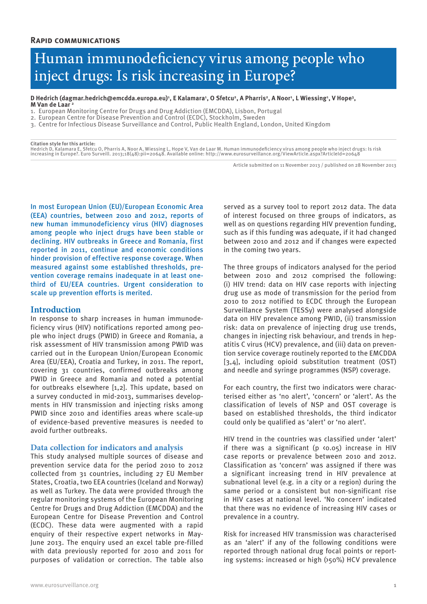# Human immunodeficiency virus among people who inject drugs: Is risk increasing in Europe?

# D Hedrich (dagmar.hedrich@emcdda.europa.eu)', E Kalamara', O Sfetcu<sup>2</sup>, A Pharris<sup>2</sup>, A Noor', L Wiessing', V Hope<sup>3</sup>,<br>M Van de Laar <sup>2</sup>

- 1. European Monitoring Centre for Drugs and Drug Addiction (EMCDDA), Lisbon, Portugal
- 2. European Centre for Disease Prevention and Control (ECDC), Stockholm, Sweden
- 3. Centre for Infectious Disease Surveillance and Control, Public Health England, London, United Kingdom

**Citation style for this article:** Hedrich D, Kalamara E, Sfetcu O, Pharris A, Noor A, Wiessing L, Hope V, Van de Laar M. Human immunodeficiency virus among people who inject drugs: Is risk increasing in Europe?. Euro Surveill. 2013;18(48):pii=20648. Available online: http://www.eurosurveillance.org/ViewArticle.aspx?ArticleId=20648

Article submitted on 11 November 2013 / published on 28 November 2013

In most European Union (EU)/European Economic Area (EEA) countries, between 2010 and 2012, reports of new human immunodeficiency virus (HIV) diagnoses among people who inject drugs have been stable or declining. HIV outbreaks in Greece and Romania, first reported in 2011, continue and economic conditions hinder provision of effective response coverage. When measured against some established thresholds, prevention coverage remains inadequate in at least onethird of EU/EEA countries. Urgent consideration to scale up prevention efforts is merited.

#### **Introduction**

In response to sharp increases in human immunodeficiency virus (HIV) notifications reported among people who inject drugs (PWID) in Greece and Romania, a risk assessment of HIV transmission among PWID was carried out in the European Union/European Economic Area (EU/EEA), Croatia and Turkey, in 2011. The report, covering 31 countries, confirmed outbreaks among PWID in Greece and Romania and noted a potential for outbreaks elsewhere [1,2]. This update, based on a survey conducted in mid-2013, summarises developments in HIV transmission and injecting risks among PWID since 2010 and identifies areas where scale-up of evidence-based preventive measures is needed to avoid further outbreaks.

#### **Data collection for indicators and analysis**

This study analysed multiple sources of disease and prevention service data for the period 2010 to 2012 collected from 31 countries, including 27 EU Member States, Croatia, two EEA countries (Iceland and Norway) as well as Turkey. The data were provided through the regular monitoring systems of the European Monitoring Centre for Drugs and Drug Addiction (EMCDDA) and the European Centre for Disease Prevention and Control (ECDC). These data were augmented with a rapid enquiry of their respective expert networks in May-June 2013. The enquiry used an excel table pre-filled with data previously reported for 2010 and 2011 for purposes of validation or correction. The table also

served as a survey tool to report 2012 data. The data of interest focused on three groups of indicators, as well as on questions regarding HIV prevention funding, such as if this funding was adequate, if it had changed between 2010 and 2012 and if changes were expected in the coming two years.

The three groups of indicators analysed for the period between 2010 and 2012 comprised the following: (i) HIV trend: data on HIV case reports with injecting drug use as mode of transmission for the period from 2010 to 2012 notified to ECDC through the European Surveillance System (TESSy) were analysed alongside data on HIV prevalence among PWID, (ii) transmission risk: data on prevalence of injecting drug use trends, changes in injecting risk behaviour, and trends in hepatitis C virus (HCV) prevalence, and (iii) data on prevention service coverage routinely reported to the EMCDDA [3,4], including opioid substitution treatment (OST) and needle and syringe programmes (NSP) coverage.

For each country, the first two indicators were characterised either as 'no alert', 'concern' or 'alert'. As the classification of levels of NSP and OST coverage is based on established thresholds, the third indicator could only be qualified as 'alert' or 'no alert'.

HIV trend in the countries was classified under 'alert' if there was a significant ( $p \langle 0.05 \rangle$  increase in HIV case reports or prevalence between 2010 and 2012. Classification as 'concern' was assigned if there was a significant increasing trend in HIV prevalence at subnational level (e.g. in a city or a region) during the same period or a consistent but non-significant rise in HIV cases at national level. 'No concern' indicated that there was no evidence of increasing HIV cases or prevalence in a country.

Risk for increased HIV transmission was characterised as an 'alert' if any of the following conditions were reported through national drug focal points or reporting systems: increased or high (>50%) HCV prevalence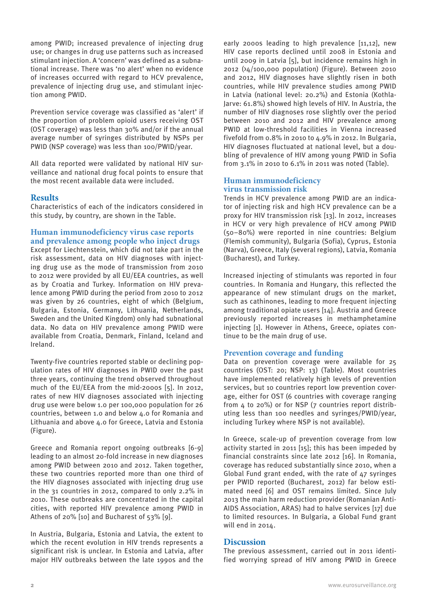among PWID; increased prevalence of injecting drug use; or changes in drug use patterns such as increased stimulant injection. A 'concern' was defined as a subnational increase. There was 'no alert' when no evidence of increases occurred with regard to HCV prevalence, prevalence of injecting drug use, and stimulant injection among PWID.

Prevention service coverage was classified as 'alert' if the proportion of problem opioid users receiving OST (OST coverage) was less than 30% and/or if the annual average number of syringes distributed by NSPs per PWID (NSP coverage) was less than 100/PWID/year.

All data reported were validated by national HIV surveillance and national drug focal points to ensure that the most recent available data were included.

# **Results**

Characteristics of each of the indicators considered in this study, by country, are shown in the Table.

# **Human immunodeficiency virus case reports and prevalence among people who inject drugs**

Except for Liechtenstein, which did not take part in the risk assessment, data on HIV diagnoses with injecting drug use as the mode of transmission from 2010 to 2012 were provided by all EU/EEA countries, as well as by Croatia and Turkey. Information on HIV prevalence among PWID during the period from 2010 to 2012 was given by 26 countries, eight of which (Belgium, Bulgaria, Estonia, Germany, Lithuania, Netherlands, Sweden and the United Kingdom) only had subnational data. No data on HIV prevalence among PWID were available from Croatia, Denmark, Finland, Iceland and Ireland.

Twenty-five countries reported stable or declining population rates of HIV diagnoses in PWID over the past three years, continuing the trend observed throughout much of the EU/EEA from the mid-2000s [5]. In 2012, rates of new HIV diagnoses associated with injecting drug use were below 1.0 per 100,000 population for 26 countries, between 1.0 and below 4.0 for Romania and Lithuania and above 4.0 for Greece, Latvia and Estonia (Figure).

Greece and Romania report ongoing outbreaks [6-9] leading to an almost 20-fold increase in new diagnoses among PWID between 2010 and 2012. Taken together, these two countries reported more than one third of the HIV diagnoses associated with injecting drug use in the 31 countries in 2012, compared to only 2.2% in 2010. These outbreaks are concentrated in the capital cities, with reported HIV prevalence among PWID in Athens of 20% [10] and Bucharest of 53% [9].

In Austria, Bulgaria, Estonia and Latvia, the extent to which the recent evolution in HIV trends represents a significant risk is unclear. In Estonia and Latvia, after major HIV outbreaks between the late 1990s and the

early 2000s leading to high prevalence [11,12], new HIV case reports declined until 2008 in Estonia and until 2009 in Latvia [5], but incidence remains high in 2012 (>4/100,000 population) (Figure). Between 2010 and 2012, HIV diagnoses have slightly risen in both countries, while HIV prevalence studies among PWID in Latvia (national level: 20.2%) and Estonia (Kothla-Jarve: 61.8%) showed high levels of HIV. In Austria, the number of HIV diagnoses rose slightly over the period between 2010 and 2012 and HIV prevalence among PWID at low-threshold facilities in Vienna increased fivefold from 0.8% in 2010 to 4.9% in 2012. In Bulgaria, HIV diagnoses fluctuated at national level, but a doubling of prevalence of HIV among young PWID in Sofia from 3.1% in 2010 to 6.1% in 2011 was noted (Table).

## **Human immunodeficiency virus transmission risk**

Trends in HCV prevalence among PWID are an indicator of injecting risk and high HCV prevalence can be a proxy for HIV transmission risk [13]. In 2012, increases in HCV or very high prevalence of HCV among PWID (50–80%) were reported in nine countries: Belgium (Flemish community), Bulgaria (Sofia), Cyprus, Estonia (Narva), Greece, Italy (several regions), Latvia, Romania (Bucharest), and Turkey.

Increased injecting of stimulants was reported in four countries. In Romania and Hungary, this reflected the appearance of new stimulant drugs on the market, such as cathinones, leading to more frequent injecting among traditional opiate users [14]. Austria and Greece previously reported increases in methamphetamine injecting [1]. However in Athens, Greece, opiates continue to be the main drug of use.

## **Prevention coverage and funding**

Data on prevention coverage were available for 25 countries (OST: 20; NSP: 13) (Table). Most countries have implemented relatively high levels of prevention services, but 10 countries report low prevention coverage, either for OST (6 countries with coverage ranging from 4 to 20%) or for NSP (7 countries report distributing less than 100 needles and syringes/PWID/year, including Turkey where NSP is not available).

In Greece, scale-up of prevention coverage from low activity started in 2011 [15]; this has been impeded by financial constraints since late 2012 [16]. In Romania, coverage has reduced substantially since 2010, when a Global Fund grant ended, with the rate of 47 syringes per PWID reported (Bucharest, 2012) far below estimated need [6] and OST remains limited. Since July 2013 the main harm reduction provider (Romanian Anti-AIDS Association, ARAS) had to halve services [17] due to limited resources. In Bulgaria, a Global Fund grant will end in 2014.

## **Discussion**

The previous assessment, carried out in 2011 identified worrying spread of HIV among PWID in Greece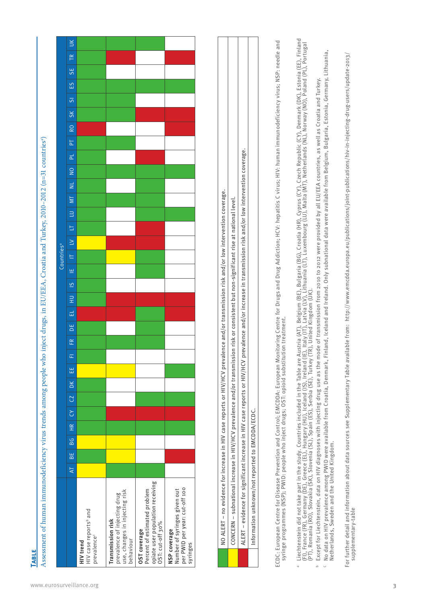| use, changes in injecting risk<br>prevalence of injecting drug<br>HIV case reports <sup>b</sup> and<br>Transmission risk<br>prevalence <sup>c</sup><br><b>HIV</b> trend                                         | Assessment of human immunodeficiency virus trends among people who inject drugs, in EU/EEA, Croatia and Turkey, 2010-2012 (n=31 countries*)<br>$\overline{A}$ | BE<br> | BG | $rac{1}{\sqrt{1+\epsilon}}$ | C | CZ | DK | 出 | Æ<br>œ | ЪË | 급 | $\exists$ | $\overline{6}$ | Ψ | Countries <sup>a</sup><br>E | $\geq$ | 5 | $\boxed{\cup}$ | $\overline{M}$ | $\overline{z}$ | $\overline{a}$ | <u>pl</u> | $\overline{P}$ | R <sub>O</sub> | $\overline{S}$<br>SK | $\frac{2}{3}$ | <b>SE</b> | TR | $\leq$ |
|-----------------------------------------------------------------------------------------------------------------------------------------------------------------------------------------------------------------|---------------------------------------------------------------------------------------------------------------------------------------------------------------|--------|----|-----------------------------|---|----|----|---|--------|----|---|-----------|----------------|---|-----------------------------|--------|---|----------------|----------------|----------------|----------------|-----------|----------------|----------------|----------------------|---------------|-----------|----|--------|
| opiate user population receiving<br>per PWID per year: cut-off 100<br>Number of syringes given out<br>Percent of estimated problem<br>OST: cut-off 30%<br>OST coverage<br>NSP coverage<br>behaviour<br>syringes |                                                                                                                                                               |        |    |                             |   |    |    |   |        |    |   |           |                |   |                             |        |   |                |                |                |                |           |                |                |                      |               |           |    |        |

| NO ALERT – no evidence for increase in HIV case reports or HIV/HCV prevalence and/or transmission risk and/or low intervention coverage.                   |
|------------------------------------------------------------------------------------------------------------------------------------------------------------|
| CONCERN – subnational increase in HIV/HCV prevalence and/or transmission risk or consistent but non-significant rise at national level.                    |
| LLERT – evidence for significant increase in HIV case reports or HIV/HCV prevalence and/or increase in transmission risk and/or low intervention coverage. |
| Information unknown/not reported to EMCDDA/ECDC.                                                                                                           |
|                                                                                                                                                            |

ECDC: European Centre for Disease Prevention and Control; EMCDDA: European Monitoring Centre for Drugs and Drug Addiction; HCV: hepatitis C virus; HIV: human immunodeficiency virus; NSP: needle and<br>syringe programmes (NSP) ECDC: European Centre for Disease Prevention and Control; EMCDDA: European Monitoring Centre for Drugs and Drug Addiction; HCV: hepatitis C virus; HIV: human immunodeficiency virus; NSP: needle and syringe programmes (NSP); PWID: people who inject drugs; OST: opioid substitution treatment.

- ® Liechtenstein did not take part in the study. Countries included in the Table are Austria (AT), Belgium (BE), Bulgaria (BG), Croatia (HR), Cyprus (CY), Czech Republic (CY), Denmark (DK), Estonia (EE), Finland<br>(FI), Fran Liechtenstein did not take part in the study. Countries included in the Table are Austria (AT), Belgium (BE), Bulgaria (BG), Croatia (HR), Cyprus (CY), Czech Republic (CY), Denmark (DK), Estonia (EE), Finland (FI), France (FR), Germany (DE), Greece (EL), Hungary (HU), Iceland (IS), Ireland (IE), Italy (IT), Latvia (LV), Lithuania (LT), Luxembourg (LU), Malta (MT), Netherlands (NL), Norway (NO), Poland (PL), Portugal (PT), Romania (RO), Slovakia (SK), Slovenia (SL), Spain (ES), Serbia (SE), Turkey (TR), United Kingdom (UK).
	- Except for Liechtenstein, data on HIV diagnoses with injecting drug use as the mode of transmission from 2010 to 2012 were provided by all EU/EEA countries, as well as Croatia and Turkey.  $^{\rm b}$  Except for Liechtenstein, data on HIV diagnoses with injecting drug use as the mode of transmission from 2010 to 2012 were provided by all EU/EEA countries, as well as Croatia and Turkey.
- No data on HIV prevalence among PWID were available from Croatia, Denmark, Finland, Iceland and Ireland. Only subnational data were available from Belgium, Bulgaria, Estonia, Germany, Lithuania, No data on HIV prevalence among PWID were available from Croatia, Denmark, Finland, Iceland and Ireland. Only subnational data were available from Belgium, Bulgaria, Estonia, Germany, Lithuania,<br>Netherlands, Sweden and the Netherlands, Sweden and the United Kingdom.

For further detail and information about data sources see Supplementary Table available from: http://www.emcdda.europa.eu/publications/joint-publications/hiv-in-injecting-drug-users/update-2013/<br>supplementary-table For further detail and information about data sources see Supplementary Table available from: http://www.emcdda.europa.eu/publications/joint-publications/hiv-in-injecting-drug-users/update-2013/ supplementary-table

**Table**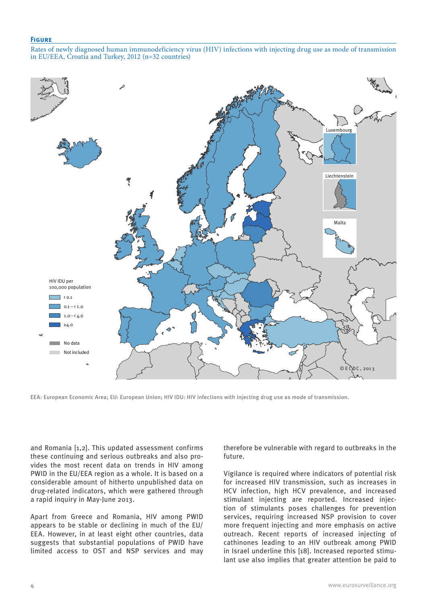#### **Figure**

Rates of newly diagnosed human immunodeficiency virus (HIV) infections with injecting drug use as mode of transmission in EU/EEA, Croatia and Turkey, 2012 (n=32 countries)



EEA: European Economic Area; EU: European Union; HIV IDU: HIV infections with injecting drug use as mode of transmission.

and Romania [1,2]. This updated assessment confirms these continuing and serious outbreaks and also provides the most recent data on trends in HIV among PWID in the EU/EEA region as a whole. It is based on a considerable amount of hitherto unpublished data on drug-related indicators, which were gathered through a rapid inquiry in May-June 2013.

Apart from Greece and Romania, HIV among PWID appears to be stable or declining in much of the EU/ EEA. However, in at least eight other countries, data suggests that substantial populations of PWID have limited access to OST and NSP services and may therefore be vulnerable with regard to outbreaks in the future.

Vigilance is required where indicators of potential risk for increased HIV transmission, such as increases in HCV infection, high HCV prevalence, and increased stimulant injecting are reported. Increased injection of stimulants poses challenges for prevention services, requiring increased NSP provision to cover more frequent injecting and more emphasis on active outreach. Recent reports of increased injecting of cathinones leading to an HIV outbreak among PWID in Israel underline this [18]. Increased reported stimulant use also implies that greater attention be paid to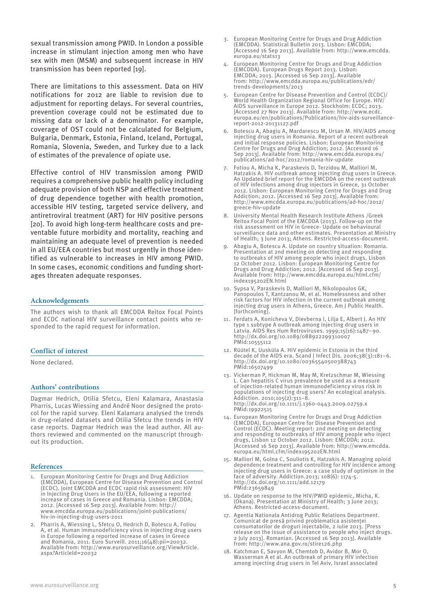sexual transmission among PWID. In London a possible increase in stimulant injection among men who have sex with men (MSM) and subsequent increase in HIV transmission has been reported [19].

There are limitations to this assessment. Data on HIV notifications for 2012 are liable to revision due to adjustment for reporting delays. For several countries, prevention coverage could not be estimated due to missing data or lack of a denominator. For example, coverage of OST could not be calculated for Belgium, Bulgaria, Denmark, Estonia, Finland, Iceland, Portugal, Romania, Slovenia, Sweden, and Turkey due to a lack of estimates of the prevalence of opiate use.

Effective control of HIV transmission among PWID requires a comprehensive public health policy including adequate provision of both NSP and effective treatment of drug dependence together with health promotion, accessible HIV testing, targeted service delivery, and antiretroviral treatment (ART) for HIV positive persons [20]. To avoid high long-term healthcare costs and preventable future morbidity and mortality, reaching and maintaining an adequate level of prevention is needed in all EU/EEA countries but most urgently in those identified as vulnerable to increases in HIV among PWID. In some cases, economic conditions and funding shortages threaten adequate responses.

#### **Acknowledgements**

The authors wish to thank all EMCDDA Reitox Focal Points and ECDC national HIV surveillance contact points who responded to the rapid request for information.

#### **Conflict of interest**

None declared.

#### **Authors' contributions**

Dagmar Hedrich, Otilia Sfetcu, Eleni Kalamara, Anastasia Pharris, Lucas Wiessing and André Noor designed the protocol for the rapid survey. Eleni Kalamara analysed the trends in drug-related datasets and Otilia Sfetcu the trends in HIV case reports. Dagmar Hedrich was the lead author. All authors reviewed and commented on the manuscript throughout its production.

#### **References**

- 1. European Monitoring Centre for Drugs and Drug Addiction (EMCDDA), European Centre for Disease Prevention and Control (ECDC). Joint EMCDDA and ECDC rapid risk assessment: HIV in Injecting Drug Users in the EU/EEA, following a reported increase of cases in Greece and Romania. Lisbon: EMCDDA; 2012. [Accessed 16 Sep 2013]. Available from: http:// www.emcdda.europa.eu/publications/joint-publications/ hiv-in-injecting-drug-users-2011
- 2. Pharris A, Wiessing L, Sfetcu O, Hedrich D, Botescu A, Fotiou A, et al. Human immunodeficiency virus in injecting drug users in Europe following a reported increase of cases in Greece and Romania, 2011. Euro Surveill. 2011;16(48):pii=20032. Available from: http://www.eurosurveillance.org/ViewArticle. aspx?ArticleId=20032
- 3. European Monitoring Centre for Drugs and Drug Addiction (EMCDDA). Statistical Bulletin 2013. Lisbon: EMCDDA; [Accessed 16 Sep 2013]. Available from: http://www.emcdda. europa.eu/stats13
- 4. European Monitoring Centre for Drugs and Drug Addiction (EMCDDA). European Drugs Report 2013. Lisbon: EMCDDA; 2013. [Accessed 16 Sep 2013]. Available from: http://www.emcdda.europa.eu/publications/edr/ trends-developments/2013
- European Centre for Disease Prevention and Control (ECDC) World Health Organization Regional Office for Europe. HIV/ AIDS surveillance in Europe 2012. Stockholm: ECDC; 2013. [Accessed 27 Nov 2013]. Available from: http://www.ecdc. europa.eu/en/publications/Publications/hiv-aids-surveillancereport-2012-20131127.pdf
- 6. Botescu A, Abagiu A, Mardarescu M, Ursan M. HIV/AIDS among injecting drug users in Romania. Report of a recent outbreak and initial response policies. Lisbon: European Monitoring Centre for Drugs and Drug Addiction; 2012. [Accessed 16 Sep 2013]. Available from: http://www.emcdda.europa.eu/ publications/ad-hoc/2012/romania-hiv-update
- 7. Fotiou A, Micha K, Paraskevis D, Terzidou M, Malliori M, Hatzakis A. HIV outbreak among injecting drug users in Greece. An Updated brief report for the EMCDDA on the recent outbreak of HIV infections among drug injectors in Greece, 31 October 2012. Lisbon: European Monitoring Centre for Drugs and Drug Addiction; 2012. [Accessed 16 Sep 2013]. Available from: http://www.emcdda.europa.eu/publications/ad-hoc/2012/ greece-hiv-update
- 8. University Mental Health Research Institute Athens /Greek Reitox Focal Point of the EMCDDA (2013). Follow-up on the risk assessment on HIV in Greece- Update on behavioural surveillance data and other estimates. Presentation at Ministry of Health; 3 June 2013; Athens. Restricted-access-document.
- 9. Abagiu A, Botescu A. Update on country situation: Romania. Presentation at 2nd meeting on detecting and responding to outbreaks of HIV among people who inject drugs, Lisbon 12 October 2012. Lisbon: European Monitoring Centre for Drugs and Drug Addiction; 2012. [Accessed 16 Sep 2013]. Available from: http://www.emcdda.europa.eu/html.cfm/ index195202EN.html
- 10. Sypsa V, Paraskevis D, Malliori M, Nikolopoulos GK, Panopoulos Τ, Kantzanou M, et al. Homelessness and other risk factors for HIV infection in the current outbreak among injecting drug users in Athens, Greece. Am J Public Health. [forthcoming].
- 11. Ferdats A, Konicheva V, Dievberna I, Lilja E, Albert J. An HIV type 1 subtype A outbreak among injecting drug users in Latvia. AIDS Res Hum Retroviruses. 1999;15(16):1487–90. http://dx.doi.org/10.1089/088922299310007 PMid:10555112
- 12. Rüütel K, Uusküla A. HIV epidemic in Estonia in the third decade of the AIDS era. Scand J Infect Dis. 2006;38(3):181–6. http://dx.doi.org/10.1080/00365540500388743 PMid:16507499
- 13. Vickerman P, Hickman M, May M, Kretzschmar M, Wiessing L. Can hepatitis C virus prevalence be used as a measure of injection-related human immunodeficiency virus risk in populations of injecting drug users? An ecological analysis.  $Addiction. 2010;105(2):311-\bar{8}$ http://dx.doi.org/10.1111/j.1360-0443.2009.02759.x PMid:19922515
- 14. European Monitoring Centre for Drugs and Drug Addiction (EMCDDA), European Centre for Disease Prevention and Control (ECDC). Meeting report: 2nd meeting on detecting and responding to outbreaks of HIV among people who inject drugs, Lisbon 12 October 2012. Lisbon: EMCDDA; 2012. [Accessed 16 Sep 2013]. Available from: http://www.emcdda. europa.eu/html.cfm/index195202EN.html
- 15. Malliori M, Golna C, Souliotis K, Hatzakis A. Managing opioid dependence treatment and controlling for HIV incidence among injecting drug users in Greece: a case study of optimism in the face of adversity. Addiction.2013; 108(6): 1174-5. http://dx.doi.org/10.1111/add.12179 PMid:23659849
- 16. Update on response to the HIV/PWID epidemic, Micha, K. (Okana). Presentation at Ministry of Health; 3 June 2013; Athens. Restricted-access-document.
- 17. Agentia Nationala Antidrog Public Relations Department. Comunicat de presă privind problematica asistenţei consumatorilor de droguri injectabile, 2 iulie 2013. [Press release on the issue of assistance to people who inject drugs. 2 July 2013]. Romanian. [Accessed 16 Sep 2013]. Available from: http://www.ana.gov.ro/stire126.php
- 18. Katchman E, Savyon M, Chemtob D, Avidor B, Mor O, Wasserman A et al. An outbreak of primary HIV infection among injecting drug users in Tel Aviv, Israel associated